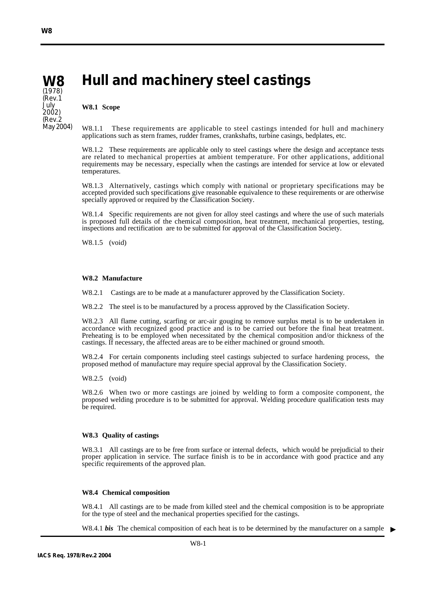(Rev.1 July 2002) (Rev.2 May 2004)

#### **Hull and machinery steel castings W8** (1978)

#### **W8.1 Scope**

W8.1.1 These requirements are applicable to steel castings intended for hull and machinery applications such as stern frames, rudder frames, crankshafts, turbine casings, bedplates, etc.

W8.1.2 These requirements are applicable only to steel castings where the design and acceptance tests are related to mechanical properties at ambient temperature. For other applications, additional requirements may be necessary, especially when the castings are intended for service at low or elevated temperatures.

W8.1.3 Alternatively, castings which comply with national or proprietary specifications may be accepted provided such specifications give reasonable equivalence to these requirements or are otherwise specially approved or required by the Classification Society.

W8.1.4 Specific requirements are not given for alloy steel castings and where the use of such materials is proposed full details of the chemical composition, heat treatment, mechanical properties, testing, inspections and rectification are to be submitted for approval of the Classification Society.

W8.1.5 (void)

### **W8.2 Manufacture**

W8.2.1 Castings are to be made at a manufacturer approved by the Classification Society.

W8.2.2 The steel is to be manufactured by a process approved by the Classification Society.

W8.2.3 All flame cutting, scarfing or arc-air gouging to remove surplus metal is to be undertaken in accordance with recognized good practice and is to be carried out before the final heat treatment. Preheating is to be employed when necessitated by the chemical composition and/or thickness of the castings. If necessary, the affected areas are to be either machined or ground smooth.

W8.2.4 For certain components including steel castings subjected to surface hardening process, the proposed method of manufacture may require special approval by the Classification Society.

W8.2.5 (void)

W8.2.6 When two or more castings are joined by welding to form a composite component, the proposed welding procedure is to be submitted for approval. Welding procedure qualification tests may be required.

#### **W8.3 Quality of castings**

W8.3.1 All castings are to be free from surface or internal defects, which would be prejudicial to their proper application in service. The surface finish is to be in accordance with good practice and any specific requirements of the approved plan.

#### **W8.4 Chemical composition**

W8.4.1 All castings are to be made from killed steel and the chemical composition is to be appropriate for the type of steel and the mechanical properties specified for the castings.

W8.4.1 *bis* The chemical composition of each heat is to be determined by the manufacturer on a sample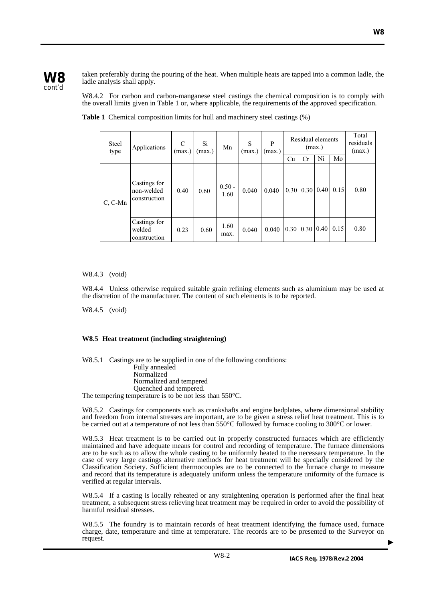

taken preferably during the pouring of the heat. When multiple heats are tapped into a common ladle, the ladle analysis shall apply.

W8.4.2 For carbon and carbon-manganese steel castings the chemical composition is to comply with the overall limits given in Table 1 or, where applicable, the requirements of the approved specification.

| <b>Steel</b><br>type | Applications                               | C<br>(max.) | Si<br>(max.) | Mn               | S<br>(max.) | P<br>(max.) | Cu | Residual elements<br>(max.)<br>Cr             | Ni | Mo   | Total<br>residuals<br>(max.) |
|----------------------|--------------------------------------------|-------------|--------------|------------------|-------------|-------------|----|-----------------------------------------------|----|------|------------------------------|
| C, C-Mn              | Castings for<br>non-welded<br>construction | 0.40        | 0.60         | $0.50 -$<br>1.60 | 0.040       | 0.040       |    | $0.30 \mid 0.30 \mid 0.40$                    |    | 0.15 | 0.80                         |
|                      | Castings for<br>welded<br>construction     | 0.23        | 0.60         | 1.60<br>max.     | 0.040       | 0.040       |    | $\vert 0.30 \vert 0.30 \vert 0.40 \vert 0.15$ |    |      | 0.80                         |

**Table 1** Chemical composition limits for hull and machinery steel castings (%)

W8.4.3 (void)

W8.4.4 Unless otherwise required suitable grain refining elements such as aluminium may be used at the discretion of the manufacturer. The content of such elements is to be reported.

W8.4.5 (void)

# **W8.5 Heat treatment (including straightening)**

W8.5.1 Castings are to be supplied in one of the following conditions: Fully annealed Normalized Normalized and tempered Quenched and tempered. The tempering temperature is to be not less than 550°C.

W8.5.2 Castings for components such as crankshafts and engine bedplates, where dimensional stability and freedom from internal stresses are important, are to be given a stress relief heat treatment. This is to be carried out at a temperature of not less than 550°C followed by furnace cooling to 300°C or lower.

W8.5.3 Heat treatment is to be carried out in properly constructed furnaces which are efficiently maintained and have adequate means for control and recording of temperature. The furnace dimensions are to be such as to allow the whole casting to be uniformly heated to the necessary temperature. In the case of very large castings alternative methods for heat treatment will be specially considered by the Classification Society. Sufficient thermocouples are to be connected to the furnace charge to measure and record that its temperature is adequately uniform unless the temperature uniformity of the furnace is verified at regular intervals.

W8.5.4 If a casting is locally reheated or any straightening operation is performed after the final heat treatment, a subsequent stress relieving heat treatment may be required in order to avoid the possibility of harmful residual stresses.

W8.5.5 The foundry is to maintain records of heat treatment identifying the furnace used, furnace charge, date, temperature and time at temperature. The records are to be presented to the Surveyor on request.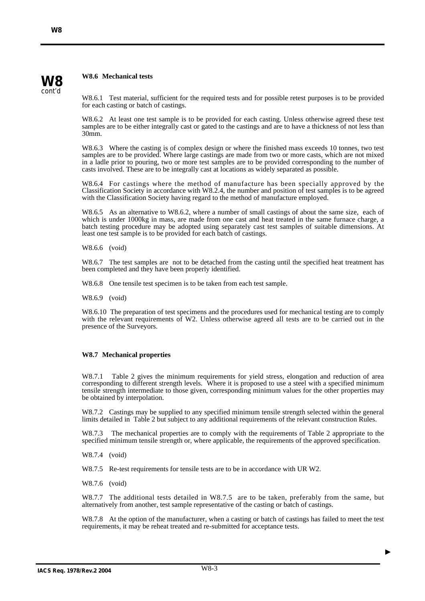# **W8.6 Mechanical tests**

W8.6.1 Test material, sufficient for the required tests and for possible retest purposes is to be provided for each casting or batch of castings.

W8.6.2 At least one test sample is to be provided for each casting. Unless otherwise agreed these test samples are to be either integrally cast or gated to the castings and are to have a thickness of not less than 30mm.

W8.6.3 Where the casting is of complex design or where the finished mass exceeds 10 tonnes, two test samples are to be provided. Where large castings are made from two or more casts, which are not mixed in a ladle prior to pouring, two or more test samples are to be provided corresponding to the number of casts involved. These are to be integrally cast at locations as widely separated as possible.

W8.6.4 For castings where the method of manufacture has been specially approved by the Classification Society in accordance with W8.2.4, the number and position of test samples is to be agreed with the Classification Society having regard to the method of manufacture employed.

W8.6.5 As an alternative to W8.6.2, where a number of small castings of about the same size, each of which is under 1000kg in mass, are made from one cast and heat treated in the same furnace charge, a batch testing procedure may be adopted using separately cast test samples of suitable dimensions. At least one test sample is to be provided for each batch of castings.

W8.6.6 (void)

W8.6.7 The test samples are not to be detached from the casting until the specified heat treatment has been completed and they have been properly identified.

W8.6.8 One tensile test specimen is to be taken from each test sample.

W8.6.9 (void)

W8.6.10 The preparation of test specimens and the procedures used for mechanical testing are to comply with the relevant requirements of W2. Unless otherwise agreed all tests are to be carried out in the presence of the Surveyors.

# **W8.7 Mechanical properties**

W8.7.1 Table 2 gives the minimum requirements for yield stress, elongation and reduction of area corresponding to different strength levels. Where it is proposed to use a steel with a specified minimum tensile strength intermediate to those given, corresponding minimum values for the other properties may be obtained by interpolation.

W8.7.2 Castings may be supplied to any specified minimum tensile strength selected within the general limits detailed in Table 2 but subject to any additional requirements of the relevant construction Rules.

W8.7.3 The mechanical properties are to comply with the requirements of Table 2 appropriate to the specified minimum tensile strength or, where applicable, the requirements of the approved specification.

W8.7.4 (void)

W8.7.5 Re-test requirements for tensile tests are to be in accordance with UR W2.

W8.7.6 (void)

W8.7.7 The additional tests detailed in W8.7.5 are to be taken, preferably from the same, but alternatively from another, test sample representative of the casting or batch of castings.

W8.7.8 At the option of the manufacturer, when a casting or batch of castings has failed to meet the test requirements, it may be reheat treated and re-submitted for acceptance tests.

**W8** cont'd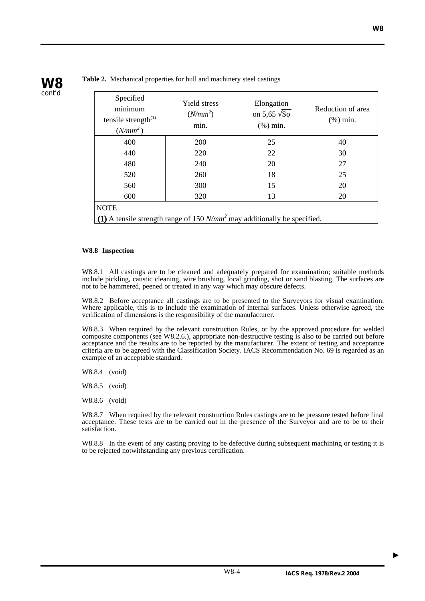

**Table 2.** Mechanical properties for hull and machinery steel castings

| Specified<br>minimum<br>tensile strength $^{(1)}$<br>$(N/mm^2)$             | Yield stress<br>$(N/mm^2)$<br>min. | Elongation<br>on 5,65 $\sqrt{So}$<br>$(\% )$ min. | Reduction of area<br>$(\%)$ min. |  |  |  |  |  |
|-----------------------------------------------------------------------------|------------------------------------|---------------------------------------------------|----------------------------------|--|--|--|--|--|
| 400                                                                         | 200                                | 25                                                | 40                               |  |  |  |  |  |
| 440                                                                         | 220                                | 22                                                | 30                               |  |  |  |  |  |
| 480                                                                         | 240                                | 20                                                | 27                               |  |  |  |  |  |
| 520                                                                         | 260                                | 18                                                | 25                               |  |  |  |  |  |
| 560                                                                         | 300                                | 15                                                | 20                               |  |  |  |  |  |
| 600                                                                         | 320                                | 13                                                | 20                               |  |  |  |  |  |
| <b>NOTE</b>                                                                 |                                    |                                                   |                                  |  |  |  |  |  |
| (1) A tensile strength range of 150 $N/mm^2$ may additionally be specified. |                                    |                                                   |                                  |  |  |  |  |  |

# **W8.8 Inspection**

W8.8.1 All castings are to be cleaned and adequately prepared for examination; suitable methods include pickling, caustic cleaning, wire brushing, local grinding, shot or sand blasting. The surfaces are not to be hammered, peened or treated in any way which may obscure defects.

W8.8.2 Before acceptance all castings are to be presented to the Surveyors for visual examination. Where applicable, this is to include the examination of internal surfaces. Unless otherwise agreed, the verification of dimensions is the responsibility of the manufacturer.

W8.8.3 When required by the relevant construction Rules, or by the approved procedure for welded composite components (see W8.2.6.), appropriate non-destructive testing is also to be carried out before acceptance and the results are to be reported by the manufacturer. The extent of testing and acceptance criteria are to be agreed with the Classification Society. IACS Recommendation No. 69 is regarded as an example of an acceptable standard.

- W8.8.4 (void)
- W8.8.5 (void)
- W8.8.6 (void)

W8.8.7 When required by the relevant construction Rules castings are to be pressure tested before final acceptance. These tests are to be carried out in the presence of the Surveyor and are to be to their satisfaction.

W8.8.8 In the event of any casting proving to be defective during subsequent machining or testing it is to be rejected notwithstanding any previous certification.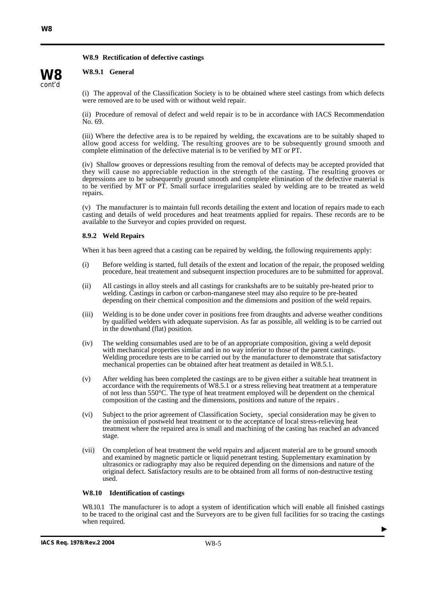# **W8.9 Rectification of defective castings**

## **W8.9.1 General**

**W8** cont'd

(i) The approval of the Classification Society is to be obtained where steel castings from which defects were removed are to be used with or without weld repair.

(ii) Procedure of removal of defect and weld repair is to be in accordance with IACS Recommendation No. 69.

(iii) Where the defective area is to be repaired by welding, the excavations are to be suitably shaped to allow good access for welding. The resulting grooves are to be subsequently ground smooth and complete elimination of the defective material is to be verified by MT or PT.

(iv) Shallow grooves or depressions resulting from the removal of defects may be accepted provided that they will cause no appreciable reduction in the strength of the casting. The resulting grooves or depressions are to be subsequently ground smooth and complete elimination of the defective material is to be verified by MT or PT. Small surface irregularities sealed by welding are to be treated as weld repairs.

(v) The manufacturer is to maintain full records detailing the extent and location of repairs made to each casting and details of weld procedures and heat treatments applied for repairs. These records are to be available to the Surveyor and copies provided on request.

### **8.9.2 Weld Repairs**

When it has been agreed that a casting can be repaired by welding, the following requirements apply:

- (i) Before welding is started, full details of the extent and location of the repair, the proposed welding procedure, heat treatement and subsequent inspection procedures are to be submitted for approval.
- (ii) All castings in alloy steels and all castings for crankshafts are to be suitably pre-heated prior to welding. Castings in carbon or carbon-manganese steel may also require to be pre-heated depending on their chemical composition and the dimensions and position of the weld repairs.
- (iii) Welding is to be done under cover in positions free from draughts and adverse weather conditions by qualified welders with adequate supervision. As far as possible, all welding is to be carried out in the downhand (flat) position.
- (iv) The welding consumables used are to be of an appropriate composition, giving a weld deposit with mechanical properties similar and in no way inferior to those of the parent castings. Welding procedure tests are to be carried out by the manufacturer to demonstrate that satisfactory mechanical properties can be obtained after heat treatment as detailed in W8.5.1.
- (v) After welding has been completed the castings are to be given either a suitable heat treatment in accordance with the requirements of W8.5.1 or a stress relieving heat treatment at a temperature of not less than 550°C. The type of heat treatment employed will be dependent on the chemical composition of the casting and the dimensions, positions and nature of the repairs .
- (vi) Subject to the prior agreement of Classification Society, special consideration may be given to the omission of postweld heat treatment or to the acceptance of local stress-relieving heat treatment where the repaired area is small and machining of the casting has reached an advanced stage.
- (vii) On completion of heat treatment the weld repairs and adjacent material are to be ground smooth and examined by magnetic particle or liquid penetrant testing. Supplementary examination by ultrasonics or radiography may also be required depending on the dimensions and nature of the original defect. Satisfactory results are to be obtained from all forms of non-destructive testing used.

#### **W8.10 Identification of castings**

W8.10.1 The manufacturer is to adopt a system of identification which will enable all finished castings to be traced to the original cast and the Surveyors are to be given full facilities for so tracing the castings when required.